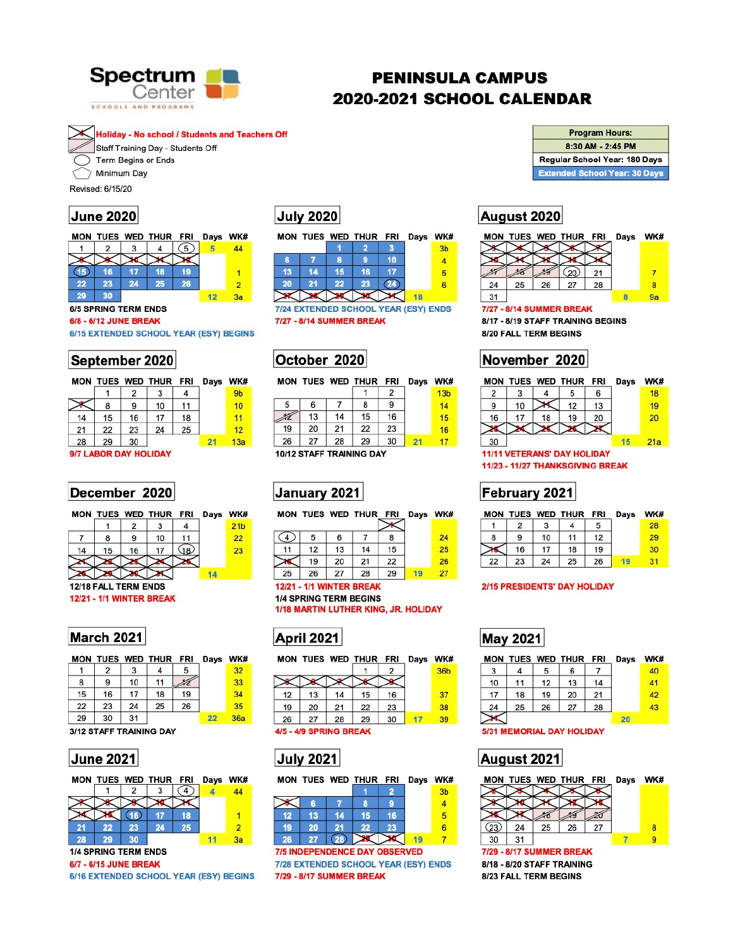

# **PENINSULA CAMPUS** 2020-2021 SCHOOL CALENDAR

**Holiday - No school / Students and Teachers Off** 

Staff Training Day - Students Off

Term Begins or Ends

Minimum Day

Revised: 6/15/20

## **June 2020**

MON TUES WED THUR FRI Days WK#

 $(5)$ 5 3 2 4 44 (15) 16  $17$ 18 19  $\overline{1}$ 22 23 24 25  $\overline{2}$ 26 30 29  $12$  $3a$ 

### **6/5 SPRING TERM ENDS**

### 6/8 - 6/12 JUNE BREAK

### 6/15 EXTENDED SCHOOL YEAR (ESY) BEGINS

## September 2020

|    |    |    | MON TUES WED THUR FRI |    | Days WK        |                 |  |
|----|----|----|-----------------------|----|----------------|-----------------|--|
|    |    | 2  | 3                     | 4  | 9 <sub>b</sub> |                 |  |
|    | 8  | 9  | 10                    | 11 |                | 10              |  |
| 14 | 15 | 16 | 17                    | 18 |                | 11              |  |
| 21 | 22 | 23 | 24                    | 25 |                | 12              |  |
| 28 | 29 | 30 |                       |    | 21             | 13 <sub>5</sub> |  |
|    |    |    |                       |    |                |                 |  |

### 9/7 LABOR DAY HOLIDAY

## December 2020

|  |                | MON TUES WED THUR FRI Days WK# |  |                 |
|--|----------------|--------------------------------|--|-----------------|
|  | $\overline{2}$ | $\overline{3}$                 |  | 21 <sub>b</sub> |
|  |                | 10                             |  |                 |

# **July 2020**

|    |    |    | MON TUES WED THUR FRI Days WK# |  |                |
|----|----|----|--------------------------------|--|----------------|
|    |    |    |                                |  | 3 <sub>b</sub> |
|    |    | R  |                                |  |                |
| 13 | 14 | 15 | 16                             |  |                |
| 20 | 21 | 22 | 23                             |  |                |
|    |    |    |                                |  |                |

7/24 EXTENDED SCHOOL YEAR (ESY) ENDS 7/27 - 8/14 SUMMER BREAK

# October 2020

|    |    |    | MON TUES WED THUR FRI |    | Days | <b>WK#</b>      |
|----|----|----|-----------------------|----|------|-----------------|
|    |    |    |                       | 2  |      | 13 <sub>b</sub> |
| 5  | 6  |    | 8                     | 9  |      | 14              |
|    | 13 | 14 | 15                    | 16 |      | 15              |
| 19 | 20 | 21 | 22                    | 23 |      | 16              |
| 26 | 27 | 28 | 29                    | 30 | 21   | 17              |
|    |    |    |                       |    |      |                 |

10/12 STAFF TRAINING DAY

# January 2021

|    |    |    | MON TUES WED THUR FRI Days |    | WK# |
|----|----|----|----------------------------|----|-----|
|    |    |    |                            |    |     |
| 4  | 5  | 6  |                            |    | 24  |
| 11 | 12 | 13 | 14                         | 15 | 25  |
|    | 19 | 20 | 21                         | 22 | 26  |
| 25 | 26 | 27 | 28                         | 29 | 27  |

| <b>Program Hours:</b>                |
|--------------------------------------|
| 8:30 AM - 2:45 PM                    |
| Regular School Year: 180 Days        |
| <b>Extended School Year: 30 Days</b> |

# August 2020

|    |    |    | MON TUES WED THUR FRI Days |    | WK# |
|----|----|----|----------------------------|----|-----|
|    |    |    |                            |    |     |
|    |    |    |                            |    |     |
|    |    |    |                            |    |     |
| 24 | 25 | 26 |                            | 28 |     |
| 31 |    |    |                            |    |     |

### 7/27 - 8/14 SUMMER BREAK

8/17 - 8/19 STAFF TRAINING BEGINS 8/20 FALL TERM BEGINS

# November 2020



# February 2021

| MON |    |    | TUES WED THUR FRI |    | <b>Days</b> | WK# |
|-----|----|----|-------------------|----|-------------|-----|
|     |    |    |                   | 5  |             | 28  |
|     |    | 10 |                   | 12 |             | 29  |
|     | 16 | 17 | 18                | 19 |             | 30  |
| 22  | 23 | 24 | 25                | 26 |             |     |



## **March 2021**

|    |    |    | MON TUES WED THUR FRI |    | Days WK |                 |
|----|----|----|-----------------------|----|---------|-----------------|
|    | 2  | 3  |                       | 5  |         | 32 <sub>2</sub> |
| 8  | 9  | 10 | 11                    |    |         | 33              |
| 15 | 16 | 17 | 18                    | 19 |         | 34              |
| 22 | 23 | 24 | 25                    | 26 |         | 35              |
| 29 | 30 | 31 |                       |    | 22      | 36a             |

### 3/12 STAFF TRAINING DAY





6/7 - 6/15 JUNE BREAK

6/16 EXTENDED SCHOOL YEAR (ESY) BEGINS

**12/21 - 1/1 WINTER BREAK 1/4 SPRING TERM BEGINS** 1/18 MARTIN LUTHER KING, JR. HOLIDAY



|    |    |    | MON TUES WED THUR FRI Days WK# |    |                 |
|----|----|----|--------------------------------|----|-----------------|
|    |    |    |                                |    | 36 <sub>b</sub> |
|    |    |    |                                |    |                 |
| 12 | 13 | 14 | 15                             | 16 | 37              |
| 19 | 20 | 21 | 22                             | 23 | 38              |
| 26 | 27 | 28 | 29                             | 30 | 39              |
|    |    |    |                                |    |                 |

4/5 - 4/9 SPRING BREAK



|    |    |    | MON TUES WED THUR FRI |    | Days | WK#            |
|----|----|----|-----------------------|----|------|----------------|
|    |    |    |                       |    |      | 3 <sub>b</sub> |
|    | R  |    | 8                     |    |      |                |
| 12 | 13 | 14 | 15                    | 16 |      |                |
| 19 | 20 | 21 | 22                    | 23 |      |                |
| 26 |    | 28 |                       |    | 19   |                |

**7/5 INDEPENDENCE DAY OBSERVED** 7/28 EXTENDED SCHOOL YEAR (ESY) ENDS 7/29 - 8/17 SUMMER BREAK

### 2/15 PRESIDENTS' DAY HOLIDAY

## **May 2021**

|    |    |    | MON TUES WED THUR FRI |    | Days | WK# |
|----|----|----|-----------------------|----|------|-----|
| 3  |    | 5  | 6                     |    |      | 40  |
| 10 | 11 | 12 | 13                    | 14 |      | 41  |
| 17 | 18 | 19 | 20                    | 21 |      | 42  |
| 24 | 25 | 26 | 27                    | 28 |      | 43  |
|    |    |    |                       |    | 20   |     |

### **5/31 MEMORIAL DAY HOLIDAY**

# August 2021



8/23 FALL TERM BEGINS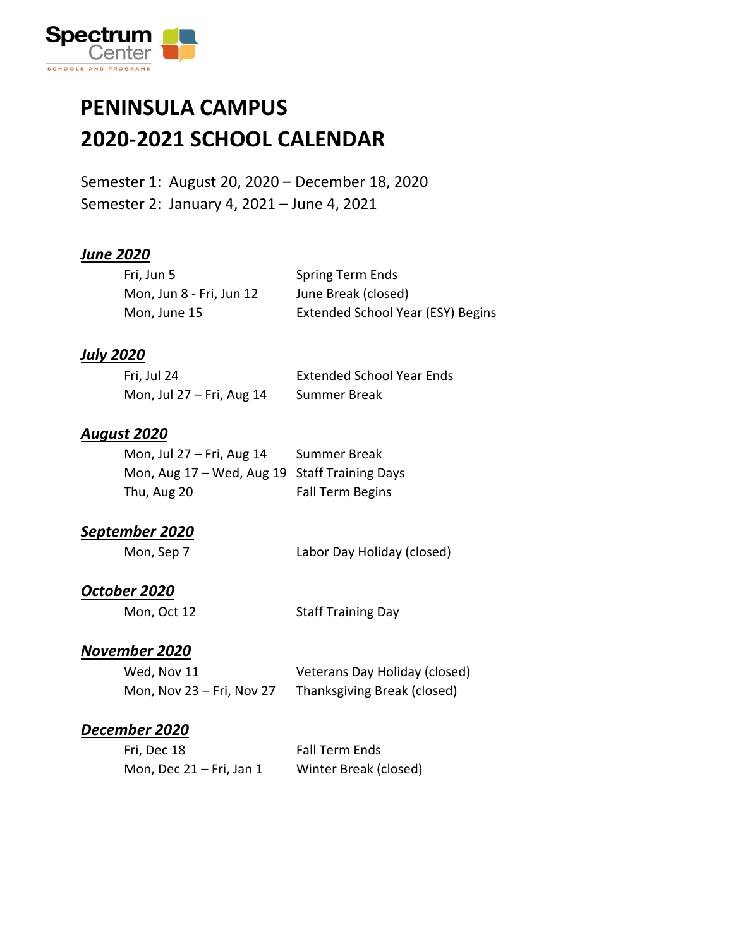

## **PENINSULA CAMPUS 2020-2021 SCHOOL CALENDAR**

Semester 1: August 20, 2020 – December 18, 2020 Semester 2: January 4, 2021 – June 4, 2021

#### *June 2020*

| Fri, Jun 5               | <b>Spring Term Ends</b>           |
|--------------------------|-----------------------------------|
| Mon, Jun 8 - Fri, Jun 12 | June Break (closed)               |
| Mon, June 15             | Extended School Year (ESY) Begins |

#### *July 2020*

| Fri, Jul 24                 | <b>Extended School Year Ends</b> |
|-----------------------------|----------------------------------|
| Mon, Jul $27$ – Fri, Aug 14 | Summer Break                     |

#### *August 2020*

| Mon, Jul 27 - Fri, Aug 14                     | Summer Break            |
|-----------------------------------------------|-------------------------|
| Mon, Aug 17 - Wed, Aug 19 Staff Training Days |                         |
| Thu, Aug 20                                   | <b>Fall Term Begins</b> |

#### *September 2020*

| Mon, Sep 7 | Labor Day Holiday (closed) |
|------------|----------------------------|
|------------|----------------------------|

#### *October 2020*

Mon, Oct 12 Staff Training Day

### *November 2020*

| Wed, Nov 11               | Veterans Day Holiday (closed) |
|---------------------------|-------------------------------|
| Mon, Nov 23 - Fri, Nov 27 | Thanksgiving Break (closed)   |

#### *December 2020*

| Fri, Dec 18                | <b>Fall Term Ends</b> |
|----------------------------|-----------------------|
| Mon, Dec $21$ – Fri, Jan 1 | Winter Break (closed) |